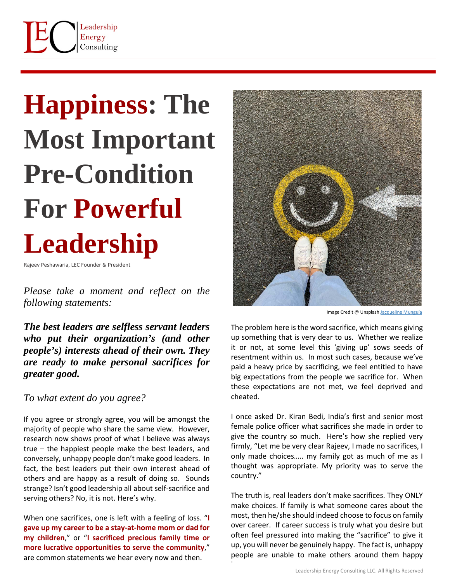

## **Happiness: The Most Important Pre-Condition For Powerful Leadership**

Rajeev Peshawaria, LEC Founder & President

*Please take a moment and reflect on the following statements:* 

*The best leaders are selfless servant leaders who put their organization's (and other people's) interests ahead of their own. They are ready to make personal sacrifices for greater good.*

*To what extent do you agree?*

If you agree or strongly agree, you will be amongst the majority of people who share the same view. However, research now shows proof of what I believe was always true – the happiest people make the best leaders, and conversely, unhappy people don't make good leaders. In fact, the best leaders put their own interest ahead of others and are happy as a result of doing so. Sounds strange? Isn't good leadership all about self-sacrifice and serving others? No, it is not. Here's why.

When one sacrifices, one is left with a feeling of loss. "**I gave up my career to be a stay-at-home mom or dad for my children**," or "**I sacrificed precious family time or more lucrative opportunities to serve the community**," are common statements we hear every now and then.



Image Credit @ Unsplash [Jacqueline Munguía](https://unsplash.com/@jacquiemunguia?utm_source=unsplash&utm_medium=referral&utm_content=creditCopyText)

The problem here is the word sacrifice, which means giving up something that is very dear to us. Whether we realize it or not, at some level this 'giving up' sows seeds of resentment within us. In most such cases, because we've paid a heavy price by sacrificing, we feel entitled to have big expectations from the people we sacrifice for. When these expectations are not met, we feel deprived and cheated.

I once asked Dr. Kiran Bedi, India's first and senior most female police officer what sacrifices she made in order to give the country so much. Here's how she replied very firmly, "Let me be very clear Rajeev, I made no sacrifices, I only made choices….. my family got as much of me as I thought was appropriate. My priority was to serve the country."

The truth is, real leaders don't make sacrifices. They ONLY make choices. If family is what someone cares about the most, then he/she should indeed choose to focus on family over career. If career success is truly what you desire but often feel pressured into making the "sacrifice" to give it up, you will never be genuinely happy. The fact is, unhappy people are unable to make others around them happy

t,